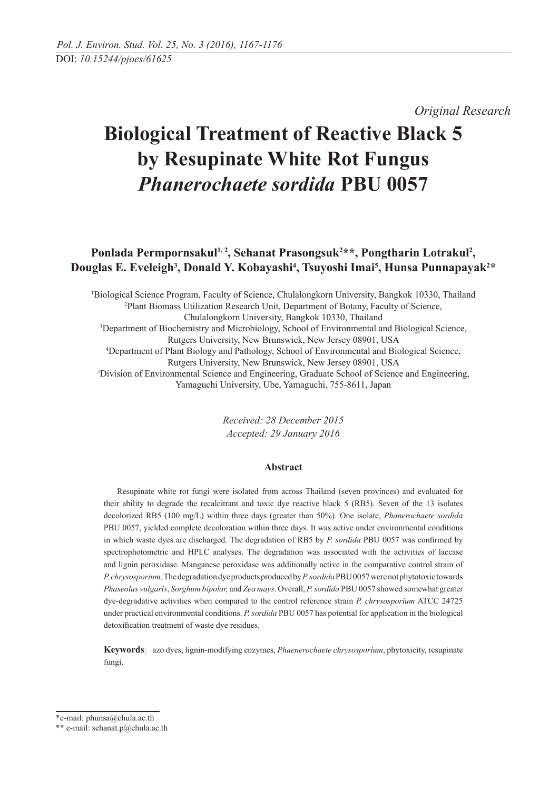*Original Research* 

# **Biological Treatment of Reactive Black 5 by Resupinate White Rot Fungus**  *Phanerochaete sordida* **PBU 0057**

## Ponlada Permpornsakul<sup>1, 2</sup>, Sehanat Prasongsuk<sup>2\*\*</sup>, Pongtharin Lotrakul<sup>2</sup>, Douglas E. Eveleigh<sup>3</sup>, Donald Y. Kobayashi<sup>4</sup>, Tsuyoshi Imai<sup>5</sup>, Hunsa Punnapayak<sup>2\*</sup>

1 Biological Science Program, Faculty of Science, Chulalongkorn University, Bangkok 10330, Thailand 2 Plant Biomass Utilization Research Unit, Department of Botany, Faculty of Science, Chulalongkorn University, Bangkok 10330, Thailand 3 Department of Biochemistry and Microbiology, School of Environmental and Biological Science, Rutgers University, New Brunswick, New Jersey 08901, USA 4 Department of Plant Biology and Pathology, School of Environmental and Biological Science, Rutgers University, New Brunswick, New Jersey 08901, USA 5 Division of Environmental Science and Engineering, Graduate School of Science and Engineering, Yamaguchi University, Ube, Yamaguchi, 755-8611, Japan

> *Received: 28 December 2015 Accepted: 29 January 2016*

## **Abstract**

Resupinate white rot fungi were isolated from across Thailand (seven provinces) and evaluated for their ability to degrade the recalcitrant and toxic dye reactive black 5 (RB5). Seven of the 13 isolates decolorized RB5 (100 mg/L) within three days (greater than 50%). One isolate, *Phanerochaete sordida* PBU 0057, yielded complete decoloration within three days. It was active under environmental conditions in which waste dyes are discharged. The degradation of RB5 by *P. sordida* PBU 0057 was confirmed by spectrophotometric and HPLC analyses. The degradation was associated with the activities of laccase and lignin peroxidase. Manganese peroxidase was additionally active in the comparative control strain of *P. chrysosporium*. The degradation dye products produced by *P. sordida* PBU 0057 were not phytotoxic towards *Phaseolus vulgaris*, *Sorghum bipolar,* and *Zea mays*. Overall, *P. sordida* PBU 0057 showed somewhat greater dye-degradative activities when compared to the control reference strain *P. chrysosporium* ATCC 24725 under practical environmental conditions. *P. sordida* PBU 0057 has potential for application in the biological detoxification treatment of waste dye residues.

**Keywords**: azo dyes, lignin-modifying enzymes, *Phaenerochaete chrysosporium*, phytoxicity, resupinate fungi.

<sup>\*</sup>e-mail: phunsa@chula.ac.th

<sup>\*\*</sup> e-mail: sehanat.p@chula.ac.th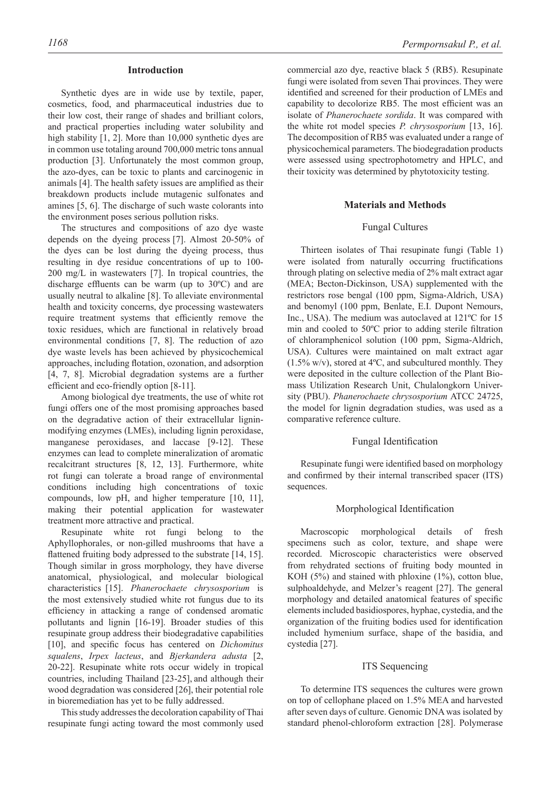#### **Introduction**

Synthetic dyes are in wide use by textile, paper, cosmetics, food, and pharmaceutical industries due to their low cost, their range of shades and brilliant colors, and practical properties including water solubility and high stability [1, 2]. More than 10,000 synthetic dyes are in common use totaling around 700,000 metric tons annual production [3]. Unfortunately the most common group, the azo-dyes, can be toxic to plants and carcinogenic in animals [4]. The health safety issues are amplified as their breakdown products include mutagenic sulfonates and amines [5, 6]. The discharge of such waste colorants into the environment poses serious pollution risks.

The structures and compositions of azo dye waste depends on the dyeing process [7]. Almost 20-50% of the dyes can be lost during the dyeing process, thus resulting in dye residue concentrations of up to 100- 200 mg/L in wastewaters [7]. In tropical countries, the discharge effluents can be warm (up to  $30^{\circ}$ C) and are usually neutral to alkaline [8]. To alleviate environmental health and toxicity concerns, dye processing wastewaters require treatment systems that efficiently remove the toxic residues, which are functional in relatively broad environmental conditions [7, 8]. The reduction of azo dye waste levels has been achieved by physicochemical approaches, including flotation, ozonation, and adsorption [4, 7, 8]. Microbial degradation systems are a further efficient and eco-friendly option [8-11].

Among biological dye treatments, the use of white rot fungi offers one of the most promising approaches based on the degradative action of their extracellular ligninmodifying enzymes (LMEs), including lignin peroxidase, manganese peroxidases, and laccase [9-12]. These enzymes can lead to complete mineralization of aromatic recalcitrant structures [8, 12, 13]. Furthermore, white rot fungi can tolerate a broad range of environmental conditions including high concentrations of toxic compounds, low pH, and higher temperature [10, 11], making their potential application for wastewater treatment more attractive and practical.

Resupinate white rot fungi belong to the Aphyllophorales, or non-gilled mushrooms that have a flattened fruiting body adpressed to the substrate  $[14, 15]$ . Though similar in gross morphology, they have diverse anatomical, physiological, and molecular biological characteristics [15]. *Phanerochaete chrysosporium* is the most extensively studied white rot fungus due to its efficiency in attacking a range of condensed aromatic pollutants and lignin [16-19]. Broader studies of this resupinate group address their biodegradative capabilities [10], and specific focus has centered on *Dichomitus squalens*, *Irpex lacteus*, and *Bjerkandera adusta* [2, 20-22]. Resupinate white rots occur widely in tropical countries, including Thailand [23-25], and although their wood degradation was considered [26], their potential role in bioremediation has yet to be fully addressed.

This study addresses the decoloration capability of Thai resupinate fungi acting toward the most commonly used

commercial azo dye, reactive black 5 (RB5). Resupinate fungi were isolated from seven Thai provinces. They were identified and screened for their production of LMEs and capability to decolorize RB5. The most efficient was an isolate of *Phanerochaete sordida*. It was compared with the white rot model species *P. chrysosporium* [13, 16]. The decomposition of RB5 was evaluated under a range of physicochemical parameters. The biodegradation products were assessed using spectrophotometry and HPLC, and their toxicity was determined by phytotoxicity testing.

#### **Materials and Methods**

#### Fungal Cultures

Thirteen isolates of Thai resupinate fungi (Table 1) were isolated from naturally occurring fructifications through plating on selective media of 2% malt extract agar (MEA; Becton-Dickinson, USA) supplemented with the restrictors rose bengal (100 ppm, Sigma-Aldrich, USA) and benomyl (100 ppm, Benlate, E.I. Dupont Nemours, Inc., USA). The medium was autoclaved at 121ºC for 15 min and cooled to  $50^{\circ}$ C prior to adding sterile filtration of chloramphenicol solution (100 ppm, Sigma-Aldrich, USA). Cultures were maintained on malt extract agar  $(1.5\% \text{ w/v})$ , stored at  $4^{\circ}\text{C}$ , and subcultured monthly. They were deposited in the culture collection of the Plant Biomass Utilization Research Unit, Chulalongkorn University (PBU). *Phanerochaete chrysosporium* ATCC 24725, the model for lignin degradation studies, was used as a comparative reference culture.

#### Fungal Identification

Resupinate fungi were identified based on morphology and confirmed by their internal transcribed spacer (ITS) sequences.

#### Morphological Identification

Macroscopic morphological details of fresh specimens such as color, texture, and shape were recorded. Microscopic characteristics were observed from rehydrated sections of fruiting body mounted in KOH (5%) and stained with phloxine (1%), cotton blue, sulphoaldehyde, and Melzer's reagent [27]. The general morphology and detailed anatomical features of specific elements included basidiospores, hyphae, cystedia, and the organization of the fruiting bodies used for identification included hymenium surface, shape of the basidia, and cystedia [27].

#### ITS Sequencing

To determine ITS sequences the cultures were grown on top of cellophane placed on 1.5% MEA and harvested after seven days of culture. Genomic DNA was isolated by standard phenol-chloroform extraction [28]. Polymerase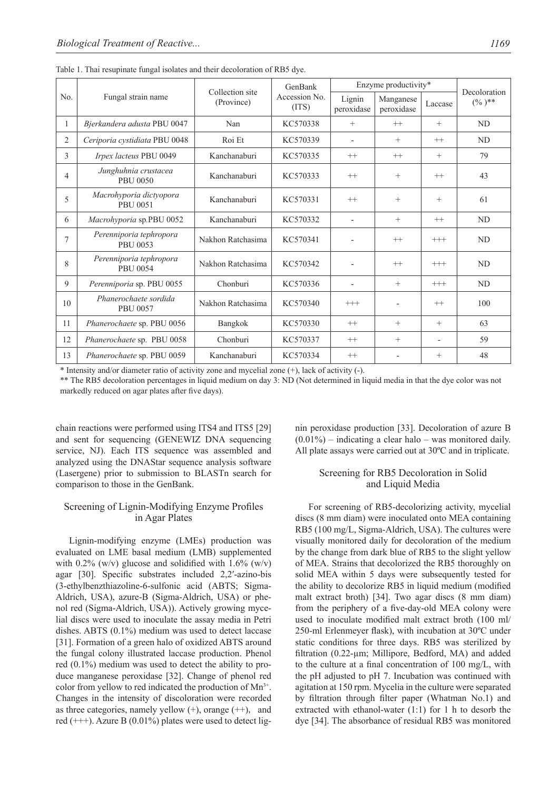| No. |                                            | Collection site   | GenBank                | Enzyme productivity*     | Decoloration            |                |                |
|-----|--------------------------------------------|-------------------|------------------------|--------------------------|-------------------------|----------------|----------------|
|     | Fungal strain name                         | (Province)        | Accession No.<br>(TTS) | Lignin<br>peroxidase     | Manganese<br>peroxidase | Laccase        | $(\%)$ **      |
| 1   | Bjerkandera adusta PBU 0047                | Nan               | KC570338               | $^{+}$                   | $++$                    | $+$            | ND             |
| 2   | Ceriporia cystidiata PBU 0048              | Roi Et            | KC570339               | $\overline{\phantom{0}}$ | $^{+}$                  | $++$           | <b>ND</b>      |
| 3   | Irpex lacteus PBU 0049                     | Kanchanaburi      | KC570335               | $^{++}$                  | $++$                    | $+$            | 79             |
| 4   | Junghuhnia crustacea<br><b>PBU 0050</b>    | Kanchanaburi      | KC570333               | $++$                     | $\! + \!\!\!\!$         | $++$           | 43             |
| 5   | Macrohyporia dictyopora<br><b>PBU 0051</b> | Kanchanaburi      | KC570331               | $^{++}$                  | $+$                     | $+$            | 61             |
| 6   | Macrohyporia sp.PBU 0052                   | Kanchanaburi      | KC570332               |                          | $+$                     | $++$           | N <sub>D</sub> |
| 7   | Perenniporia tephropora<br>PBU 0053        | Nakhon Ratchasima | KC570341               |                          | $++$                    | $+++$          | N <sub>D</sub> |
| 8   | Perenniporia tephropora<br>PBU 0054        | Nakhon Ratchasima | KC570342               |                          | $++$                    | $^{+++}$       | N <sub>D</sub> |
| 9   | Perenniporia sp. PBU 0055                  | Chonburi          | KC570336               | $\overline{\phantom{a}}$ | $+$                     | $^{+++}$       | <b>ND</b>      |
| 10  | Phanerochaete sordida<br><b>PBU 0057</b>   | Nakhon Ratchasima | KC570340               | $^{+++}$                 | $\blacksquare$          | $++$           | 100            |
| 11  | Phanerochaete sp. PBU 0056                 | Bangkok           | KC570330               | $^{++}$                  | $+$                     | $+$            | 63             |
| 12  | Phanerochaete sp. PBU 0058                 | Chonburi          | KC570337               | $^{++}$                  | $+$                     | $\blacksquare$ | 59             |
| 13  | Phanerochaete sp. PBU 0059                 | Kanchanaburi      | KC570334               | $^{++}$                  |                         | $^{+}$         | 48             |

Table 1. Thai resupinate fungal isolates and their decoloration of RB5 dye.

\* Intensity and/or diameter ratio of activity zone and mycelial zone (+), lack of activity (-).

\*\* The RB5 decoloration percentages in liquid medium on day 3: ND (Not determined in liquid media in that the dye color was not markedly reduced on agar plates after five days).

chain reactions were performed using IT S4 and ITS5 [29] and sent for sequencing (GENEWIZ DNA sequencing service, NJ). Each ITS sequence was assembled and analyzed using the DNAStar sequence analysis software (Lasergene) prior to submission to BLASTn search for comparison to those in the GenBank.

## Screening of Lignin-Modifying Enzyme Profiles in Agar Plates

Lignin-modifying enzyme (LMEs) production was evaluated on LME basal medium (LMB) supplemented with  $0.2\%$  (w/v) glucose and solidified with  $1.6\%$  (w/v) agar  $[30]$ . Specific substrates included 2,2'-azino-bis (3-ethylbenzthiazoline-6-sulfonic acid (ABTS; Sigma-Aldrich, USA), azure-B (Sigma-Aldrich, USA) or phenol red (Sigma-Aldrich, USA)). Actively growing mycelial discs were used to inoculate the assay media in Petri dishes. ABTS (0.1%) medium was used to detect laccase [31]. Formation of a green halo of oxidized ABTS around the fungal colony illustrated laccase production. Phenol red (0.1%) medium was used to detect the ability to produce manganese peroxidase [32]. Change of phenol red color from yellow to red indicated the production of  $Mn^{3+}$ . Changes in the intensity of discoloration were recorded as three categories, namely yellow  $(+)$ , orange  $(++)$ , and red  $(++)$ . Azure B  $(0.01\%)$  plates were used to detect lignin peroxidase production [33]. Decoloration of azure B  $(0.01\%)$  – indicating a clear halo – was monitored daily. All plate assays were carried out at 30ºC and in triplicate.

## Screening for RB5 Decoloration in Solid and Liquid Media

For screening of RB5-decolorizing activity, mycelial discs (8 mm diam) were inoculated onto MEA containing RB5 (100 mg/L, Sigma-Aldrich, USA). The cultures were visually monitored daily for decoloration of the medium by the change from dark blue of RB5 to the slight yellow of MEA. Strains that decolorized the RB5 thoroughly on solid MEA within 5 days were subsequently tested for the ability to decolorize RB5 in liquid medium (modified malt extract broth) [34]. Two agar discs (8 mm diam) from the periphery of a five-day-old MEA colony were used to inoculate modified malt extract broth (100 ml/ 250-ml Erlenmeyer flask), with incubation at  $30^{\circ}$ C under static conditions for three days. RB5 was sterilized by filtration  $(0.22 \text{-} \mu \text{m})$ ; Millipore, Bedford, MA) and added to the culture at a final concentration of 100 mg/L, with the pH adjusted to pH 7. Incubation was continued with agitation at 150 rpm. Mycelia in the culture were separated by filtration through filter paper (Whatman No.1) and extracted with ethanol-water (1:1) for 1 h to desorb the dye [34]. The absorbance of residual RB5 was monitored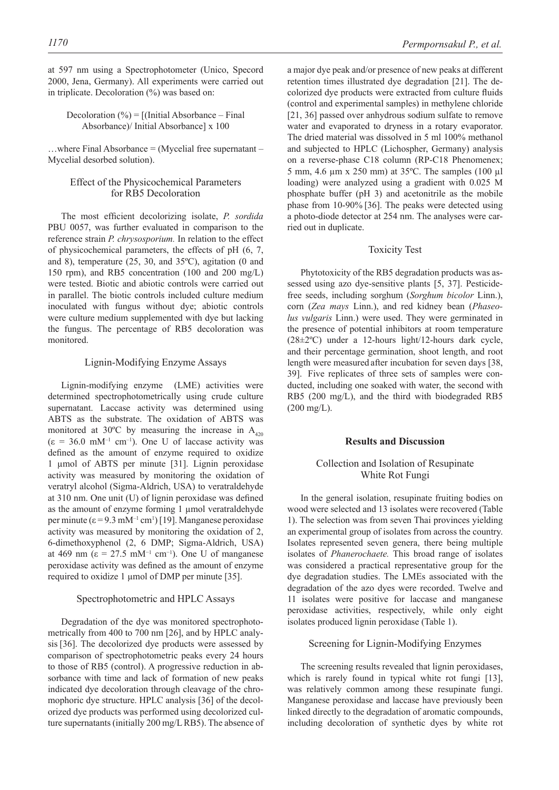in triplicate. Decoloration (%) was based on:

## Decoloration  $(\% ) = [$ (Initial Absorbance – Final Absorbance)/ Initial Absorbance] x 100

…where Final Absorbance = (Mycelial free supernatant – Mycelial desorbed solution).

## Effect of the Physicochemical Parameters for RB5 Decoloration

The most efficient decolorizing isolate, *P. sordida* PBU 0057, was further evaluated in comparison to the reference strain *P. chrysosporium.* In relation to the effect of physicochemical parameters, the effects of pH (6, 7, and 8), temperature (25, 30, and 35ºC), agitation (0 and 150 rpm), and RB5 concentration (100 and 200 mg/L) were tested. Biotic and abiotic controls were carried out in parallel. The biotic controls included culture medium inoculated with fungus without dye; abiotic controls were culture medium supplemented with dye but lacking the fungus. The percentage of RB5 decoloration was monitored.

#### Lignin-Modifying Enzyme Assays

Lignin-modifying enzyme (LME) activities were determined spectrophotometrically using crude culture supernatant. Laccase activity was determined using ABTS as the substrate. The oxidation of ABTS was monitored at 30°C by measuring the increase in  $A_{420}$  $(\epsilon = 36.0 \text{ mM}^{-1} \text{ cm}^{-1})$ . One U of laccase activity was defined as the amount of enzyme required to oxidize 1 μmol of ABTS per minute [31]. Lignin peroxidase activity was measured by monitoring the oxidation of veratryl alcohol (Sigma-Aldrich, USA) to veratraldehyde at  $310$  nm. One unit (U) of lignin peroxidase was defined as the amount of enzyme forming 1 μmol veratraldehyde per minute  $(\epsilon = 9.3 \text{ mM}^{-1} \text{ cm}^1)$  [19]. Manganese peroxidase activity was measured by monitoring the oxidation of 2, 6-dimethoxyphenol (2, 6 DMP; Sigma-Aldrich, USA) at 469 nm ( $\varepsilon = 27.5$  mM<sup>-1</sup> cm<sup>-1</sup>). One U of manganese peroxidase activity was defined as the amount of enzyme required to oxidize 1 μmol of DMP per minute [35].

## Spectrophotometric and HPLC Assays

Degradation of the dye was monitored spectrophotometrically from 400 to 700 nm [26], and by HPLC analysis [36]. The decolorized dye products were assessed by comparison of spectrophotometric peaks every 24 hours to those of RB5 (control). A progressive reduction in absorbance with time and lack of formation of new peaks indicated dye decoloration through cleavage of the chromophoric dye structure. HPLC analysis [36] of the decolorized dye products was performed using decolorized culture supernatants (initially 200 mg/L RB5). The absence of a major dye peak and/or presence of new peaks at different retention times illustrated dye degradation [21]. The decolorized dye products were extracted from culture fluids (control and experimental samples) in methylene chloride [21, 36] passed over anhydrous sodium sulfate to remove water and evaporated to dryness in a rotary evaporator. The dried material was dissolved in 5 ml 100% methanol and subjected to HPLC (Lichospher, Germany) analysis on a reverse-phase C18 column (RP-C18 Phenomenex; 5 mm, 4.6 μm x 250 mm) at 35ºC. The samples (100 μl loading) were analyzed using a gradient with 0.025 M phosphate buffer (pH 3) and acetonitrile as the mobile phase from 10-90% [36]. The peaks were detected using a photo-diode detector at 254 nm. The analyses were carried out in duplicate.

#### Toxicity Test

Phytotoxicity of the RB5 degradation products was assessed using azo dye-sensitive plants [5, 37]. Pesticidefree seeds, including sorghum (*Sorghum bicolor* Linn.), corn (*Zea mays* Linn.), and red kidney bean (*Phaseolus vulgaris* Linn.) were used. They were germinated in the presence of potential inhibitors at room temperature (28±2ºC) under a 12-hours light/12-hours dark cycle, and their percentage germination, shoot length, and root length were measured after incubation for seven days [38, 39]. Five replicates of three sets of samples were conducted, including one soaked with water, the second with RB5 (200 mg/L), and the third with biodegraded RB5  $(200 \text{ mg/L}).$ 

#### **Results and Discussion**

## Collection and Isolation of Resupinate White Rot Fungi

In the general isolation, resupinate fruiting bodies on wood were selected and 13 isolates were recovered (Table 1). The selection was from seven Thai provinces yielding an experimental group of isolates from across the country. Isolates represented seven genera, there being multiple isolates of *Phanerochaete.* This broad range of isolates was considered a practical representative group for the dye degradation studies. The LMEs associated with the degradation of the azo dyes were recorded. Twelve and 11 isolates were positive for laccase and manganese peroxidase activities, respectively, while only eight isolates produced lignin peroxidase (Table 1).

## Screening for Lignin-Modifying Enzymes

The screening results revealed that lignin peroxidases, which is rarely found in typical white rot fungi [13], was relatively common among these resupinate fungi. Manganese peroxidase and laccase have previously been linked directly to the degradation of aromatic compounds, including decoloration of synthetic dyes by white rot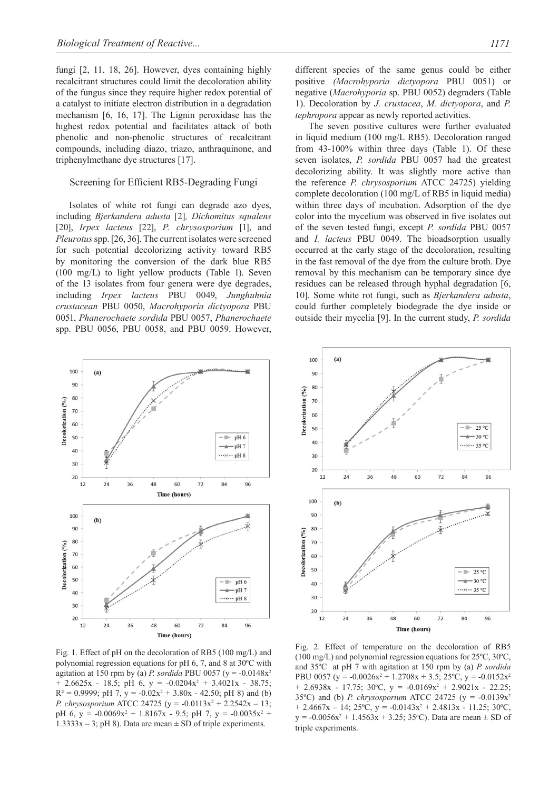fungi [2, 11, 18, 26]. However, dyes containing highly recalcitrant structures could limit the decoloration ability of the fungus since they require higher redox potential of a catalyst to initiate electron distribution in a degradation mechanism [6, 16, 17]. The Lignin peroxidase has the highest redox potential and facilitates attack of both phenolic and non-phenolic structures of recalcitrant compounds, including diazo, triazo, anthraquinone, and triphenylmethane dye structures [17].

#### Screening for Efficient RB5-Degrading Fungi

Isolates of white rot fungi can degrade azo dyes, including *Bjerkandera adusta* [2]*, Dichomitus squalens*  [20], *Irpex lacteus* [22], *P. chrysosporium* [1], and *Pleurotus* spp. [26, 36]. The current isolates were screened for such potential decolorizing activity toward RB5 by monitoring the conversion of the dark blue RB5 (100 mg/L) to light yellow products (Table 1). Seven of the 13 isolates from four genera were dye degrades, including *Irpex lacteus* PBU 0049, *Junghuhnia crustacean* PBU 0050, *Macrohyporia dictyopora* PBU 0051, *Phanerochaete sordida* PBU 0057, *Phanerochaete* spp. PBU 0056, PBU 0058, and PBU 0059. However,

different species of the same genus could be either positive *(Macrohyporia dictyopora* PBU 0051) or negative (*Macrohyporia* sp. PBU 0052) degraders (Table 1). Decoloration by *J. crustacea*, *M. dictyopora*, and *P. tephropora* appear as newly reported activities.

The seven positive cultures were further evaluated in liquid medium (100 mg/L RB5). Decoloration ranged from 43-100% within three days (Table 1). Of these seven isolates, *P. sordida* PBU 0057 had the greatest decolorizing ability. It was slightly more active than the reference *P. chrysosporium* ATCC 24725) yielding complete decoloration (100 mg/L of RB5 in liquid media) within three days of incubation. Adsorption of the dye color into the mycelium was observed in five isolates out of the seven tested fungi, except *P. sordida* PBU 0057 and *I. lacteus* PBU 0049. The bioadsorption usually occurred at the early stage of the decoloration, resulting in the fast removal of the dye from the culture broth. Dye removal by this mechanism can be temporary since dye residues can be released through hyphal degradation [6, 10]*.* Some white rot fungi, such as *Bjerkandera adusta*, could further completely biodegrade the dye inside or outside their mycelia [9]. In the current study, *P. sordida*



Fig. 1. Effect of pH on the decoloration of RB5 (100 mg/L) and polynomial regression equations for pH 6, 7, and 8 at 30ºC with agitation at 150 rpm by (a) *P. sordida* PBU 0057 (y =  $-0.0148x^2$  $+ 2.6625x - 18.5$ ; pH 6, y =  $-0.0204x^2 + 3.4021x - 38.75$ ;  $R^2 = 0.9999$ ; pH 7, y =  $-0.02x^2 + 3.80x - 42.50$ ; pH 8) and (b) *P. chrysosporium* ATCC 24725 ( $y = -0.0113x^2 + 2.2542x - 13$ ; pH 6,  $y = -0.0069x^2 + 1.8167x - 9.5$ ; pH 7,  $y = -0.0035x^2 +$  $1.3333x - 3$ ; pH 8). Data are mean  $\pm$  SD of triple experiments.



Fig. 2. Effect of temperature on the decoloration of RB5 (100 mg/L) and polynomial regression equations for 25ºC, 30ºC, and 35ºC at pH 7 with agitation at 150 rpm by (a) *P. sordida* PBU 0057 ( $y = -0.0026x^2 + 1.2708x + 3.5$ ; 25°C,  $y = -0.0152x^2$  $+ 2.6938x - 17.75$ ; 30°C,  $y = -0.0169x^2 + 2.9021x - 22.25$ ; 35ºC) and (b) *P. chrysosporium* ATCC 24725 (y = -0.0139x2  $+ 2.4667x - 14$ ;  $25^{\circ}$ C,  $y = -0.0143x^2 + 2.4813x - 11.25$ ;  $30^{\circ}$ C,  $y = -0.0056x^2 + 1.4563x + 3.25$ ; 35 °C). Data are mean  $\pm$  SD of triple experiments.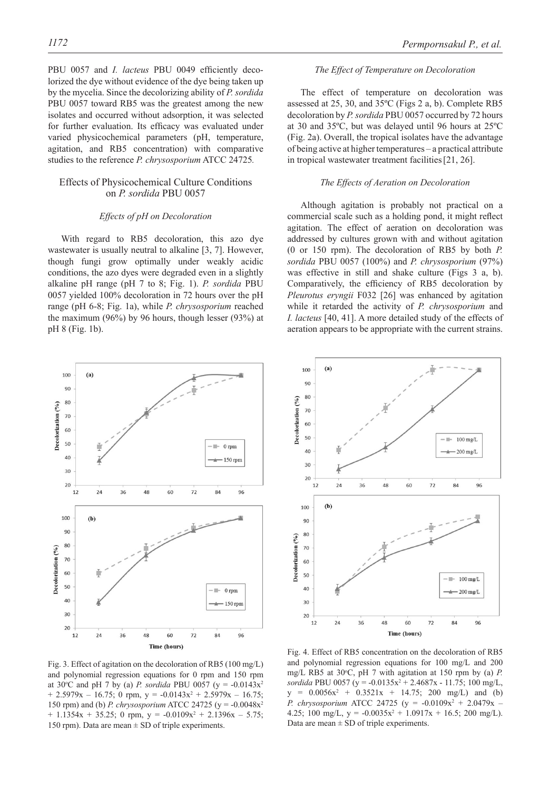PBU 0057 and *I. lacteus* PBU 0049 efficiently decolorized the dye without evidence of the dye being taken up by the mycelia. Since the decolorizing ability of *P. sordida* PBU 0057 toward RB5 was the greatest among the new isolates and occurred without adsorption, it was selected for further evaluation. Its efficacy was evaluated under varied physicochemical parameters (pH, temperature, agitation, and RB5 concentration) with comparative studies to the reference *P. chrysosporium* ATCC 24725*.*

## Effects of Physicochemical Culture Conditions on *P. sordida* PBU 0057

#### *Effects of pH on Decoloration*

With regard to RB5 decoloration, this azo dye wastewater is usually neutral to alkaline [3, 7]. However, though fungi grow optimally under weakly acidic conditions, the azo dyes were degraded even in a slightly alkaline pH range (pH 7 to 8; Fig. 1). *P. sordida* PBU 0057 yielded 100% decoloration in 72 hours over the pH range (pH 6-8; Fig. 1a), while *P. chrysosporium* reached the maximum (96%) by 96 hours, though lesser (93%) at pH 8 (Fig. 1b).



Fig. 3. Effect of agitation on the decoloration of RB5 (100 mg/L) and polynomial regression equations for 0 rpm and 150 rpm at 30°C and pH 7 by (a) *P. sordida* PBU 0057 (y = -0.0143x<sup>2</sup>  $+ 2.5979x - 16.75$ ; 0 rpm,  $y = -0.0143x^2 + 2.5979x - 16.75$ ; 150 rpm) and (b) *P. chrysosporium* ATCC 24725 (y = -0.0048x2  $+$  1.1354x + 35.25; 0 rpm, y =  $-0.0109x^2 + 2.1396x - 5.75$ ; 150 rpm). Data are mean  $\pm$  SD of triple experiments.

## *The Effect of Temperature on Decoloration*

The effect of temperature on decoloration was assessed at 25, 30, and 35ºC (Figs 2 a, b). Complete RB5 decoloration by *P. sordida* PBU 0057 occurred by 72 hours at 30 and 35ºC, but was delayed until 96 hours at 25ºC (Fig. 2a). Overall, the tropical isolates have the advantage of being active at higher temperatures – a practical attribute in tropical wastewater treatment facilities[21, 26].

## *The Effects of Aeration on Decoloration*

Although agitation is probably not practical on a commercial scale such as a holding pond, it might reflect agitation. The effect of aeration on decoloration was addressed by cultures grown with and without agitation (0 or 150 rpm). The decoloration of RB5 by both *P. sordida* PBU 0057 (100%) and *P. chrysosporium* (97%) was effective in still and shake culture (Figs 3 a, b). Comparatively, the efficiency of RB5 decoloration by *Pleurotus eryngii* F032 [26] was enhanced by agitation while it retarded the activity of *P. chrysosporium* and *I. lacteus* [40, 41]. A more detailed study of the effects of aeration appears to be appropriate with the current strains.



Fig. 4. Effect of RB5 concentration on the decoloration of RB5 and polynomial regression equations for 100 mg/L and 200 mg/L RB5 at 30°C, pH 7 with agitation at 150 rpm by (a) P. *sordida* PBU 0057 ( $y = -0.0135x^2 + 2.4687x - 11.75$ ; 100 mg/L,  $y = 0.0056x^2 + 0.3521x + 14.75$ ; 200 mg/L) and (b) *P. chrysosporium* ATCC 24725 ( $y = -0.0109x^2 + 2.0479x$  – 4.25; 100 mg/L,  $y = -0.0035x^2 + 1.0917x + 16.5$ ; 200 mg/L). Data are mean  $\pm$  SD of triple experiments.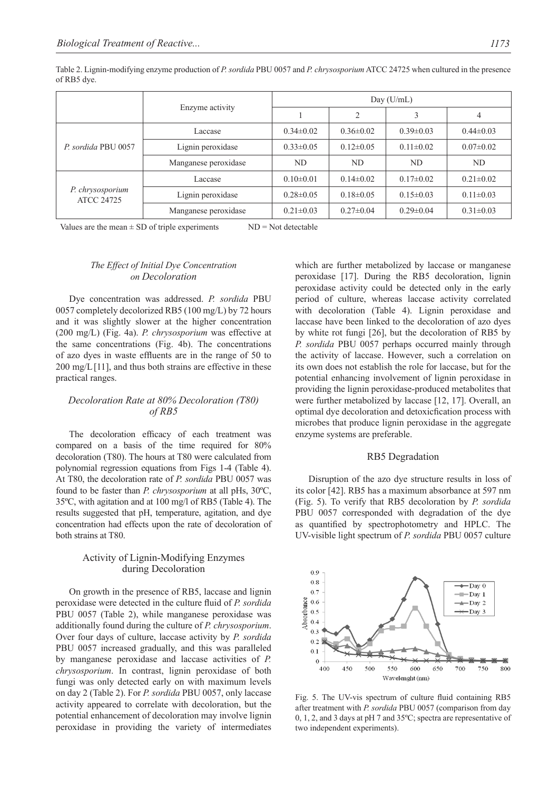Table 2. Lignin-modifying enzyme production of *P. sordida* PBU 0057 and *P. chrysosporium* ATCC 24725 when cultured in the presence of RB5 dye.

|                                       |                      | Day $(U/mL)$    |                 |                 |                 |  |  |
|---------------------------------------|----------------------|-----------------|-----------------|-----------------|-----------------|--|--|
|                                       | Enzyme activity      |                 |                 | 3               | 4               |  |  |
|                                       | Laccase              | $0.34\pm0.02$   | $0.36\pm0.02$   | $0.39\pm0.03$   | $0.44\pm 0.03$  |  |  |
| P. sordida PBU 0057                   | Lignin peroxidase    | $0.33 \pm 0.05$ | $0.12\pm0.05$   | $0.11 \pm 0.02$ | $0.07 \pm 0.02$ |  |  |
|                                       | Manganese peroxidase | ND.             | ND.             | ND              | ND              |  |  |
|                                       | Laccase              | $0.10 \pm 0.01$ | $0.14\pm 0.02$  | $0.17\pm0.02$   | $0.21 \pm 0.02$ |  |  |
| P. chrysosporium<br><b>ATCC 24725</b> | Lignin peroxidase    | $0.28 \pm 0.05$ | $0.18 \pm 0.05$ | $0.15 \pm 0.03$ | $0.11 \pm 0.03$ |  |  |
|                                       | Manganese peroxidase | $0.21 \pm 0.03$ | $0.27 \pm 0.04$ | $0.29 \pm 0.04$ | $0.31 \pm 0.03$ |  |  |

Values are the mean  $\pm$  SD of triple experiments  $ND = Not~detectable$ 

## *The Effect of Initial Dye Concentration on Decoloration*

Dye concentration was addressed. *P. sordida* PBU 0057 completely decolorized RB5 (100 mg/L) by 72 hours and it was slightly slower at the higher concentration (200 mg/L) (Fig. 4a). *P. chrysosporium* was effective at the same concentrations (Fig. 4b). The concentrations of azo dyes in waste effluents are in the range of 50 to 200 mg/L[11], and thus both strains are effective in these practical ranges.

## *Decoloration Rate at 80% Decoloration (T80) of RB5*

The decoloration efficacy of each treatment was compared on a basis of the time required for 80% decoloration (T80). The hours at T80 were calculated from polynomial regression equations from Figs 1-4 (Table 4). At T80, the decoloration rate of *P. sordida* PBU 0057 was found to be faster than *P. chrysosporium* at all pHs, 30ºC, 35ºC, with agitation and at 100 mg/l of RB5 (Table 4). The results suggested that pH, temperature, agitation, and dye concentration had effects upon the rate of decoloration of both strains at T80.

## Activity of Lignin-Modifying Enzymes during Decoloration

On growth in the presence of RB5, laccase and lignin peroxidase were detected in the culture fluid of *P. sordida* PBU 0057 (Table 2), while manganese peroxidase was additionally found during the culture of *P. chrysosporium*. Over four days of culture, laccase activity by *P. sordida* PBU 0057 increased gradually, and this was paralleled by manganese peroxidase and laccase activities of *P. chrysosporium*. In contrast, lignin peroxidase of both fungi was only detected early on with maximum levels on day 2 (Table 2). For *P. sordida* PBU 0057, only laccase activity appeared to correlate with decoloration, but the potential enhancement of decoloration may involve lignin peroxidase in providing the variety of intermediates which are further metabolized by laccase or manganese peroxidase [17]. During the RB5 decoloration, lignin peroxidase activity could be detected only in the early period of culture, whereas laccase activity correlated with decoloration (Table 4). Lignin peroxidase and laccase have been linked to the decoloration of azo dyes by white rot fungi [26], but the decoloration of RB5 by *P. sordida* PBU 0057 perhaps occurred mainly through the activity of laccase. However, such a correlation on its own does not establish the role for laccase, but for the potential enhancing involvement of lignin peroxidase in providing the lignin peroxidase-produced metabolites that were further metabolized by laccase [12, 17]. Overall, an optimal dye decoloration and detoxicfication process with microbes that produce lignin peroxidase in the aggregate enzyme systems are preferable.

#### RB5 Degradation

Disruption of the azo dye structure results in loss of its color [42]. RB5 has a maximum absorbance at 597 nm (Fig. 5). To verify that RB5 decoloration by *P. sordida* PBU 0057 corresponded with degradation of the dye as quantified by spectrophotometry and HPLC. The UV-visible light spectrum of *P. sordida* PBU 0057 culture



Fig. 5. The UV-vis spectrum of culture fluid containing RB5 after treatment with *P. sordida* PBU 0057 (comparison from day 0, 1, 2, and 3 days at pH 7 and 35ºC; spectra are representative of two independent experiments).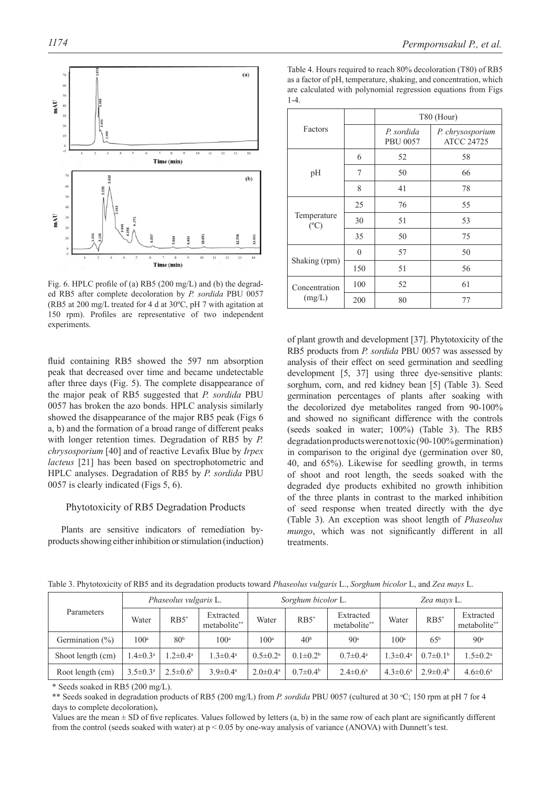

Fig. 6. HPLC profile of (a) RB5 (200 mg/L) and (b) the degraded RB5 after complete decoloration by *P. sordida* PBU 0057 (RB5 at 200 mg/L treated for 4 d at 30ºC, pH 7 with agitation at 150 rpm). Profiles are representative of two independent experiments.

fluid containing RB5 showed the 597 nm absorption peak that decreased over time and became undetectable after three days (Fig. 5). The complete disappearance of the major peak of RB5 suggested that *P. sordida* PBU 0057 has broken the azo bonds. HPLC analysis similarly showed the disappearance of the major RB5 peak (Figs 6 a, b) and the formation of a broad range of different peaks with longer retention times. Degradation of RB5 by *P. chrysosporium* [40] and of reactive Levafix Blue by *Irpex lacteus* [21] has been based on spectrophotometric and HPLC analyses. Degradation of RB5 by *P. sordida* PBU 0057 is clearly indicated (Figs 5, 6).

## Phytotoxicity of RB5 Degradation Products

Plants are sensitive indicators of remediation byproducts showing either inhibition or stimulation (induction)

Table 4. Hours required to reach 80% decoloration (T80) of RB5 as a factor of pH, temperature, shaking, and concentration, which

|                              |          | T80 (Hour)                    |                                       |  |  |  |  |
|------------------------------|----------|-------------------------------|---------------------------------------|--|--|--|--|
| Factors                      |          | P. sordida<br><b>PBU 0057</b> | P. chrysosporium<br><b>ATCC 24725</b> |  |  |  |  |
|                              | 6        | 52                            | 58                                    |  |  |  |  |
| pH                           | 7        | 50                            | 66                                    |  |  |  |  |
|                              | 8        | 41                            | 78                                    |  |  |  |  |
|                              | 25       | 76                            | 55                                    |  |  |  |  |
| Temperature<br>$(^{\circ}C)$ | 30       | 51                            | 53                                    |  |  |  |  |
|                              | 35       | 50                            | 75                                    |  |  |  |  |
|                              | $\Omega$ | 57                            | 50                                    |  |  |  |  |
| Shaking (rpm)                | 150      | 51                            | 56                                    |  |  |  |  |
| Concentration                | 100      | 52                            | 61                                    |  |  |  |  |
| (mg/L)                       | 200      | 80                            | 77                                    |  |  |  |  |

are calculated with polynomial regression equations from Figs

 $1 - 4$ 

of plant growth and development [37]. Phytotoxicity of the RB5 products from *P. sordida* PBU 0057 was assessed by analysis of their effect on seed germination and seedling development [5, 37] using three dye-sensitive plants: sorghum, corn, and red kidney bean [5] (Table 3). Seed germination percentages of plants after soaking with the decolorized dye metabolites ranged from 90-100% and showed no significant difference with the controls (seeds soaked in water; 100%) (Table 3). The RB5 degradation products were not toxic (90-100% germination) in comparison to the original dye (germination over 80, 40, and 65%). Likewise for seedling growth, in terms of shoot and root length, the seeds soaked with the degraded dye products exhibited no growth inhibition of the three plants in contrast to the marked inhibition of seed response when treated directly with the dye (Table 3). An exception was shoot length of *Phaseolus mungo*, which was not significantly different in all treatments.

|                    | Phaseolus vulgaris L.    |                          | Sorghum bicolor L.        |                          |                     | Zea mays L.               |                          |                       |                           |
|--------------------|--------------------------|--------------------------|---------------------------|--------------------------|---------------------|---------------------------|--------------------------|-----------------------|---------------------------|
| Parameters         | Water                    | RB5"                     | Extracted<br>metabolite** | Water                    | $RB5^*$             | Extracted<br>metabolite** | Water                    | $RB5^*$               | Extracted<br>metabolite** |
| Germination $(\%)$ | $100^{\rm a}$            | 80 <sup>b</sup>          | 100 <sup>a</sup>          | 100 <sup>a</sup>         | 40 <sup>b</sup>     | 90 <sup>a</sup>           | 100 <sup>a</sup>         | 65 <sup>b</sup>       | 90 <sup>a</sup>           |
| Shoot length (cm)  | $1.4 \pm 0.3^{\text{a}}$ | $1.2 \pm 0.4^{\text{a}}$ | $1.3 \pm 0.4^{\text{a}}$  | $0.5 \pm 0.2^{\text{a}}$ | $0.1 \pm 0.2^b$     | $0.7 \pm 0.4^{\text{a}}$  | $1.3 \pm 0.4^a$          | $0.7\pm0.1b$          | $1.5 \pm 0.2^{\text{a}}$  |
| Root length (cm)   | $3.5 \pm 0.3^{\text{a}}$ | $2.5\pm0.6^{\rm b}$      | $3.9 \pm 0.4^{\text{a}}$  | $2.0 \pm 0.4^{\circ}$    | $0.7\pm0.4^{\rm b}$ | $2.4 \pm 0.6^{\circ}$     | $4.3 \pm 0.6^{\text{a}}$ | $2.9 \pm 0.4^{\circ}$ | $4.6 \pm 0.6^{\circ}$     |

Table 3. Phytotoxicity of RB5 and its degradation products toward *Phaseolus vulgaris* L., *Sorghum bicolor* L, and *Zea mays* L.

\* Seeds soaked in RB5 (200 mg/L).

\*\* Seeds soaked in degradation products of RB5 (200 mg/L) from *P. sordida* PBU 0057 (cultured at 30 °C; 150 rpm at pH 7 for 4 days to complete decoloration)**.**

Values are the mean  $\pm$  SD of five replicates. Values followed by letters (a, b) in the same row of each plant are significantly different from the control (seeds soaked with water) at  $p < 0.05$  by one-way analysis of variance (ANOVA) with Dunnett's test.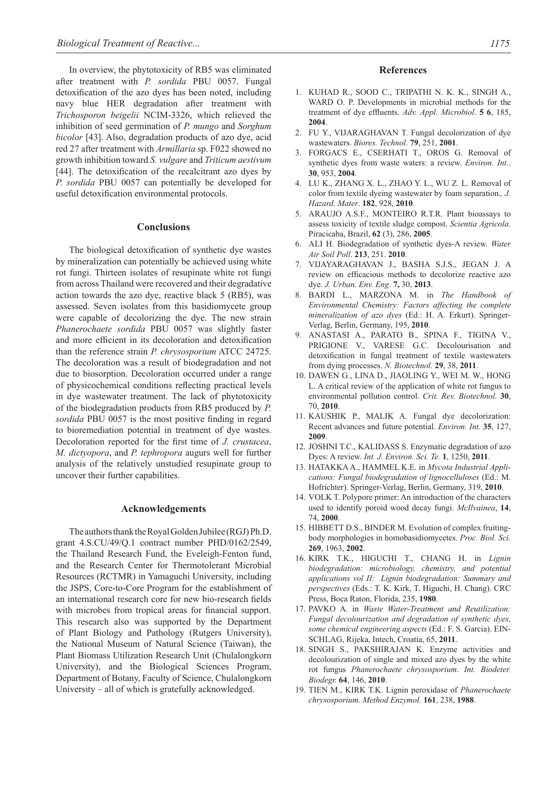In overview, the phytotoxicity of RB5 was eliminated after treatment with *P. sordida* PBU 0057. Fungal detoxification of the azo dyes has been noted, including navy blue HER degradation after treatment with *Trichosporon beigelii* NCIM-3326, which relieved the inhibition of seed germination of *P. mungo* and *Sorghum bicolor* [43]. Also, degradation products of azo dye, acid red 27 after treatment with *Armillaria* sp. F022 showed no growth inhibition toward *S. vulgare* and *Triticum aestivum* [44]. The detoxification of the recalcitrant azo dyes by *P. sordida* PBU 0057 can potentially be developed for useful detoxification environmental protocols.

#### **Conclusions**

The biological detoxification of synthetic dye wastes by mineralization can potentially be achieved using white rot fungi. Thirteen isolates of resupinate white rot fungi from across Thailand were recovered and their degradative action towards the azo dye, reactive black 5 (RB5), was assessed. Seven isolates from this basidiomycete group were capable of decolorizing the dye. The new strain *Phanerochaete sordida* PBU 0057 was slightly faster and more efficient in its decoloration and detoxification than the reference strain *P. chrysosporium* ATCC 24725. The decoloration was a result of biodegradation and not due to biosorption. Decoloration occurred under a range of physicochemical conditions reflecting practical levels in dye wastewater treatment. The lack of phytotoxicity of the biodegradation products from RB5 produced by *P.*  sordida PBU 0057 is the most positive finding in regard to bioremediation potential in treatment of dye wastes. Decoloration reported for the first time of *J. crustacea*, *M. dictyopora*, and *P. tephropora* augurs well for further analysis of the relatively unstudied resupinate group to uncover their further capabilities.

#### **Acknowledgements**

The authors thank the Royal Golden Jubilee (RGJ) Ph.D. grant 4.S.CU/49/Q.1 contract number PHD/0162/2549, the Thailand Research Fund, the Eveleigh-Fenton fund, and the Research Center for Thermotolerant Microbial Resources (RCTMR) in Yamaguchi University, including the JSPS, Core-to-Core Program for the establishment of an international research core for new bio-research fields with microbes from tropical areas for financial support. This research also was supported by the Department of Plant Biology and Pathology (Rutgers University), the National Museum of Natural Science (Taiwan), the Plant Biomass Utilization Research Unit (Chulalongkorn University), and the Biological Sciences Program, Department of Botany, Faculty of Science, Chulalongkorn University – all of which is gratefully acknowledged.

#### **References**

- 1. KUHAD R., SOOD C., TRIPATHI N. K. K., SINGH A., WARD O. P. Developments in microbial methods for the treatment of dye effluents. Adv. Appl. Microbiol. **5 6**, 185, **2004**.
- 2. FU Y., VIJARAGHAVAN T. Fungal decolorization of dye wastewaters. *Biores. Technol*. **79**, 251, **2001**.
- 3. FORGACS E., CSERHATI T., OROS G. Removal of synthetic dyes from waste waters: a review. *Environ. Int.*. **30**, 953, **2004**.
- 4. LU K., ZHANG X. L., ZHAO Y. L., WU Z. L. Removal of color from textile dyeing wastewater by foam separation.*, J. Hazard. Mater*. **182**, 928, **2010**.
- 5. ARAUJO A.S.F., MONTEIRO R.T.R. Plant bioassays to assess toxicity of textile sludge compost. *Scientia Agricola*. Piracicaba, Brazil, **62** (3), 286, **2005**.
- 6. ALI H. Biodegradation of synthetic dyes-A review. *Water Air Soil Poll*. **213**, 251. **2010**.
- 7. VIJAYARAGHAVAN J., BASHA S.J.S., JEGAN J. A review on efficacious methods to decolorize reactive azo dye. *J. Urban. Env. Eng*. **7,** 30, **2013**.
- 8. BARDI L., MARZONA M. in *The Handbook of Environmental Chemistry: Factors affecting the complete mineralization of azo dyes* (Ed.: H. A. Erkurt). Springer-Verlag, Berlin, Germany, 195, **2010**.
- 9. ANASTASI A., PARATO B., SPINA F., TIGINA V., PRIGIONE V., VARESE G.C. Decolourisation and detoxification in fungal treatment of textile wastewaters from dying processes. *N. Biotechnol.* **29**, 38, **2011**.
- 10. DAWEN G., LINA D., JIAOLING Y., WEI M. W., HONG L. A critical review of the application of white rot fungus to environmental pollution control. *Crit. Rev. Biotechnol.* **30**, 70, **2010**.
- 11. KAUSHIK P., MALIK A. Fungal dye decolorization: Recent advances and future potential. *Environ. Int.* **35**, 127, **2009**.
- 12. JOSHNI T.C., KALIDASS S. Enzymatic degradation of azo Dyes: A review. *Int. J. Environ. Sci. Te.* **1**, 1250, **2011**.
- 13. HATAKKA A., HAMMEL K.E. in *Mycota Industrial Applications: Fungal biodegradation of lignocelluloses* (Ed.: M. Hofrichter). Springer-Verlag, Berlin, Germany, 319, **2010**.
- 14. VOLK T. Polypore primer: An introduction of the characters used to identify poroid wood decay fungi. *McIlvainea*, **14**, 74, **2000**.
- 15. HIBBETT D.S., BINDER M. Evolution of complex fruitingbody morphologies in homobasidiomycetes. *Proc. Biol. Sci.* **269**, 1963, **2002**.
- 16. KIRK T.K., HIGUCHI T., CHANG H. in *Lignin biodegradation: microbiology, chemistry, and potential applications vol II: Lignin biodegradation: Summary and perspectives* (Eds.: T. K. Kirk, T. Higuchi, H. Chang). CRC Press, Boca Raton, Florida, 235, **1980**.
- 17. PAVKO A. in *Waste Water-Treatment and Reutilization: Fungal decolourization and degradation of synthetic dyes, some chemical engineering aspects* (Ed.: F. S. Garcia). EIN-SCHLAG, Rijeka, Intech, Croatia, 65, **2011**.
- 18. SINGH S., PAKSHIRAJAN K. Enzyme activities and decolourization of single and mixed azo dyes by the white rot fungus *Phanerochaete chrysosporium*. *Int. Biodeter. Biodegr.* **64**, 146, **2010**.
- 19. TIEN M., KIRK T.K. Lignin peroxidase of *Phanerochaete chrysosporium*. *Method Enzymol.* **161**, 238, **1988**.